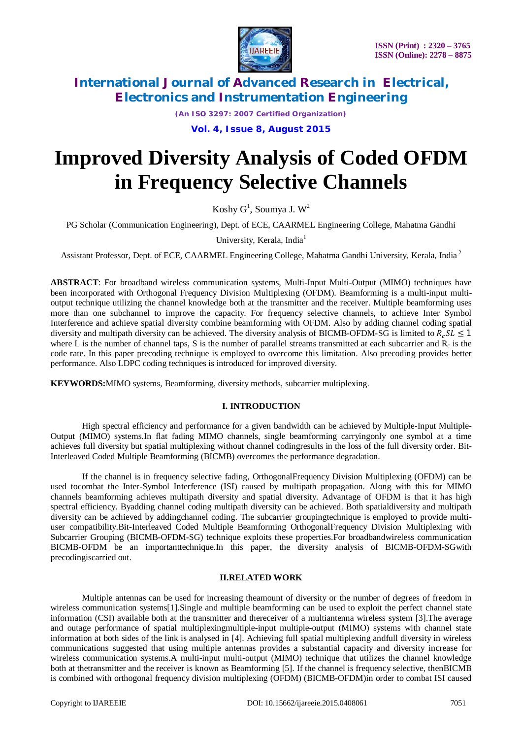

*(An ISO 3297: 2007 Certified Organization)*

**Vol. 4, Issue 8, August 2015**

# **Improved Diversity Analysis of Coded OFDM in Frequency Selective Channels**

Koshy  $G^1$ , Soumya J.  $W^2$ 

PG Scholar (Communication Engineering), Dept. of ECE, CAARMEL Engineering College, Mahatma Gandhi

University, Kerala, India<sup>1</sup>

Assistant Professor, Dept. of ECE, CAARMEL Engineering College, Mahatma Gandhi University, Kerala, India<sup>2</sup>

**ABSTRACT**: For broadband wireless communication systems, Multi-Input Multi-Output (MIMO) techniques have been incorporated with Orthogonal Frequency Division Multiplexing (OFDM). Beamforming is a multi-input multioutput technique utilizing the channel knowledge both at the transmitter and the receiver. Multiple beamforming uses more than one subchannel to improve the capacity. For frequency selective channels, to achieve Inter Symbol Interference and achieve spatial diversity combine beamforming with OFDM. Also by adding channel coding spatial diversity and multipath diversity can be achieved. The diversity analysis of BICMB-OFDM-SG is limited to  $R_c S L \le 1$ where L is the number of channel taps, S is the number of parallel streams transmitted at each subcarrier and  $R_c$  is the code rate. In this paper precoding technique is employed to overcome this limitation. Also precoding provides better performance. Also LDPC coding techniques is introduced for improved diversity.

**KEYWORDS:**MIMO systems, Beamforming, diversity methods, subcarrier multiplexing.

#### **I. INTRODUCTION**

High spectral efficiency and performance for a given bandwidth can be achieved by Multiple-Input Multiple-Output (MIMO) systems.In flat fading MIMO channels, single beamforming carryingonly one symbol at a time achieves full diversity but spatial multiplexing without channel codingresults in the loss of the full diversity order. Bit-Interleaved Coded Multiple Beamforming (BICMB) overcomes the performance degradation.

If the channel is in frequency selective fading, OrthogonalFrequency Division Multiplexing (OFDM) can be used tocombat the Inter-Symbol Interference (ISI) caused by multipath propagation. Along with this for MIMO channels beamforming achieves multipath diversity and spatial diversity. Advantage of OFDM is that it has high spectral efficiency. Byadding channel coding multipath diversity can be achieved. Both spatialdiversity and multipath diversity can be achieved by addingchannel coding. The subcarrier groupingtechnique is employed to provide multiuser compatibility.Bit-Interleaved Coded Multiple Beamforming OrthogonalFrequency Division Multiplexing with Subcarrier Grouping (BICMB-OFDM-SG) technique exploits these properties.For broadbandwireless communication BICMB-OFDM be an importanttechnique.In this paper, the diversity analysis of BICMB-OFDM-SGwith precodingiscarried out.

#### **II.RELATED WORK**

Multiple antennas can be used for increasing theamount of diversity or the number of degrees of freedom in wireless communication systems[1].Single and multiple beamforming can be used to exploit the perfect channel state information (CSI) available both at the transmitter and thereceiver of a multiantenna wireless system [3].The average and outage performance of spatial multiplexingmultiple-input multiple-output (MIMO) systems with channel state information at both sides of the link is analysed in [4]. Achieving full spatial multiplexing andfull diversity in wireless communications suggested that using multiple antennas provides a substantial capacity and diversity increase for wireless communication systems.A multi-input multi-output (MIMO) technique that utilizes the channel knowledge both at thetransmitter and the receiver is known as Beamforming [5]. If the channel is frequency selective, thenBICMB is combined with orthogonal frequency division multiplexing (OFDM) (BICMB-OFDM)in order to combat ISI caused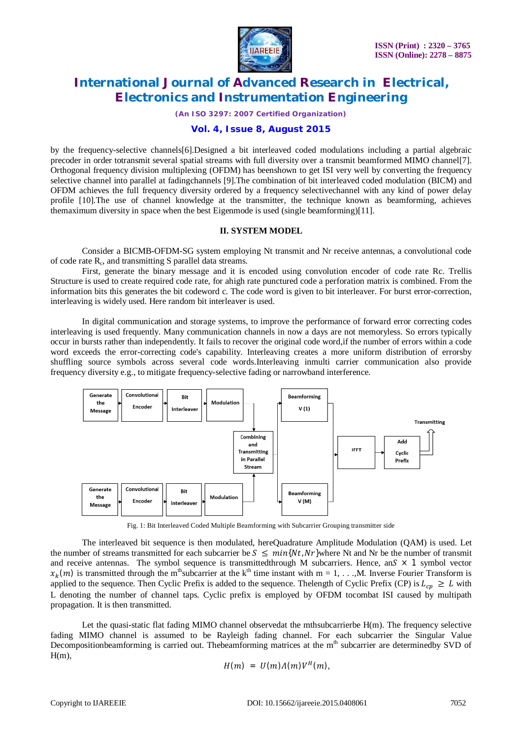

*(An ISO 3297: 2007 Certified Organization)*

### **Vol. 4, Issue 8, August 2015**

by the frequency-selective channels[6].Designed a bit interleaved coded modulations including a partial algebraic precoder in order totransmit several spatial streams with full diversity over a transmit beamformed MIMO channel[7]. Orthogonal frequency division multiplexing (OFDM) has beenshown to get ISI very well by converting the frequency selective channel into parallel at fadingchannels [9].The combination of bit interleaved coded modulation (BICM) and OFDM achieves the full frequency diversity ordered by a frequency selectivechannel with any kind of power delay profile [10].The use of channel knowledge at the transmitter, the technique known as beamforming, achieves themaximum diversity in space when the best Eigenmode is used (single beamforming)[11].

#### **II. SYSTEM MODEL**

Consider a BICMB-OFDM-SG system employing Nt transmit and Nr receive antennas, a convolutional code of code rate R<sub>c</sub>, and transmitting S parallel data streams.

First, generate the binary message and it is encoded using convolution encoder of code rate Rc. Trellis Structure is used to create required code rate, for ahigh rate punctured code a perforation matrix is combined. From the information bits this generates the bit codeword c. The code word is given to bit interleaver. For burst error-correction, interleaving is widely used. Here random bit interleaver is used.

In digital communication and storage systems, to improve the performance of forward error correcting codes interleaving is used frequently. Many communication channels in now a days are not memoryless. So errors typically occur in bursts rather than independently. It fails to recover the original code word,if the number of errors within a code word exceeds the error-correcting code's capability. Interleaving creates a more uniform distribution of errorsby shuffling source symbols across several code words.Interleaving inmulti carrier communication also provide frequency diversity e.g., to mitigate frequency-selective fading or narrowband interference.



Fig. 1: Bit Interleaved Coded Multiple Beamforming with Subcarrier Grouping transmitter side

The interleaved bit sequence is then modulated, hereQuadrature Amplitude Modulation (QAM) is used. Let the number of streams transmitted for each subcarrier be  $S \leq min\{Nt, Nr\}$  where Nt and Nr be the number of transmit and receive antennas. The symbol sequence is transmitted through M subcarriers. Hence, an $S \times 1$  symbol vector  $x_k(m)$  is transmitted through the m<sup>th</sup>subcarrier at the k<sup>th</sup> time instant with m = 1, . . .,M. Inverse Fourier Transform is applied to the sequence. Then Cyclic Prefix is added to the sequence. The length of Cyclic Prefix (CP) is  $L_{cr} \geq L$  with L denoting the number of channel taps. Cyclic prefix is employed by OFDM tocombat ISI caused by multipath propagation. It is then transmitted.

Let the quasi-static flat fading MIMO channel observedat the mthsubcarrierbe H(m). The frequency selective fading MIMO channel is assumed to be Rayleigh fading channel. For each subcarrier the Singular Value Decompositionbeamforming is carried out. Thebeamforming matrices at the  $m<sup>th</sup>$  subcarrier are determinedby SVD of  $H(m)$ .

$$
H(m) = U(m)\Lambda(m)V^H(m),
$$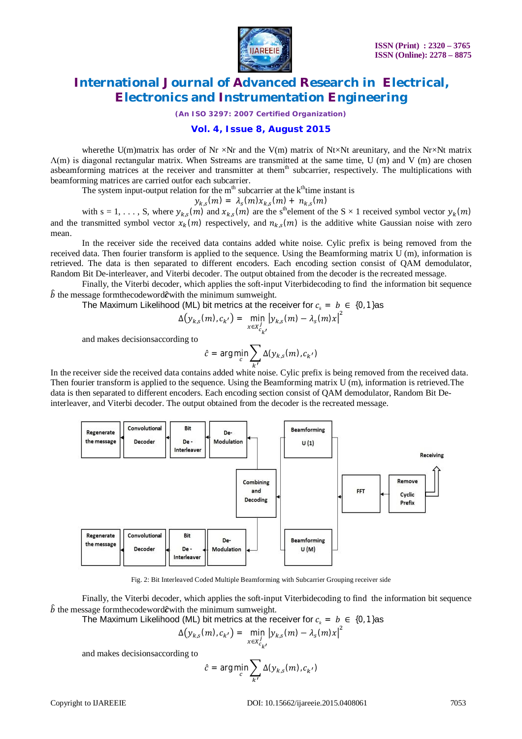

*(An ISO 3297: 2007 Certified Organization)*

#### **Vol. 4, Issue 8, August 2015**

where the U(m)matrix has order of Nr  $\times$ Nr and the V(m) matrix of Nt $\times$ Nt areunitary, and the Nr $\times$ Nt matrix Λ(m) is diagonal rectangular matrix. When Sstreams are transmitted at the same time, U (m) and V (m) are chosen asbeamforming matrices at the receiver and transmitter at them<sup>th</sup> subcarrier, respectively. The multiplications with beamforming matrices are carried outfor each subcarrier.

The system input-output relation for the  $m<sup>th</sup>$  subcarrier at the  $k<sup>th</sup>$ time instant is

$$
y_{k,s}(m) = \lambda_s(m)x_{k,s}(m) + n_{k,s}(m)
$$

with  $s = 1, \ldots, S$ , where  $y_{k,s}(m)$  and  $x_{k,s}(m)$  are the s<sup>th</sup>element of the  $S \times 1$  received symbol vector  $y_k(m)$ and the transmitted symbol vector  $x_k(m)$  respectively, and  $n_{k,s}(m)$  is the additive white Gaussian noise with zero mean.

In the receiver side the received data contains added white noise. Cylic prefix is being removed from the received data. Then fourier transform is applied to the sequence. Using the Beamforming matrix U (m), information is retrieved. The data is then separated to different encoders. Each encoding section consist of QAM demodulator, Random Bit De-interleaver, and Viterbi decoder. The output obtained from the decoder is the recreated message.

Finally, the Viterbi decoder, which applies the soft-input Viterbidecoding to find the information bit sequence  $\hat{b}$  the message formthecodeword $\hat{c}$  with the minimum sumweight.

The Maximum Likelihood (ML) bit metrics at the receiver for  $c<sub>k</sub> = b \in \{0, 1\}$ as

$$
\Delta(y_{k,s}(m), c_{k'}) = \min_{x \in X_{c_{k'}}^j} |y_{k,s}(m) - \lambda_s(m)x|^2
$$

and makes decisionsaccording to

$$
\hat{c} = \arg\min_c \sum_{k'} \Delta(y_{k,s}(m), c_{k'})
$$

 In the receiver side the received data contains added white noise. Cylic prefix is being removed from the received data. Then fourier transform is applied to the sequence. Using the Beamforming matrix U (m), information is retrieved.The data is then separated to different encoders. Each encoding section consist of QAM demodulator, Random Bit Deinterleaver, and Viterbi decoder. The output obtained from the decoder is the recreated message.



Fig. 2: Bit Interleaved Coded Multiple Beamforming with Subcarrier Grouping receiver side

Finally, the Viterbi decoder, which applies the soft-input Viterbidecoding to find the information bit sequence  $\hat{b}$  the message formthecodeword $\hat{c}$  with the minimum sumweight.

The Maximum Likelihood (ML) bit metrics at the receiver for  $c<sub>k</sub> = b \in \{0, 1\}$ as

$$
\Delta(y_{k,s}(m), c_{k'}) = \min_{x \in x_{c_{k'}}^j} |y_{k,s}(m) - \lambda_s(m)x|^2
$$

and makes decisionsaccording to

$$
\hat{c} = \arg\min_c \sum_{k'} \Delta(y_{k,s}(m), c_{k'})
$$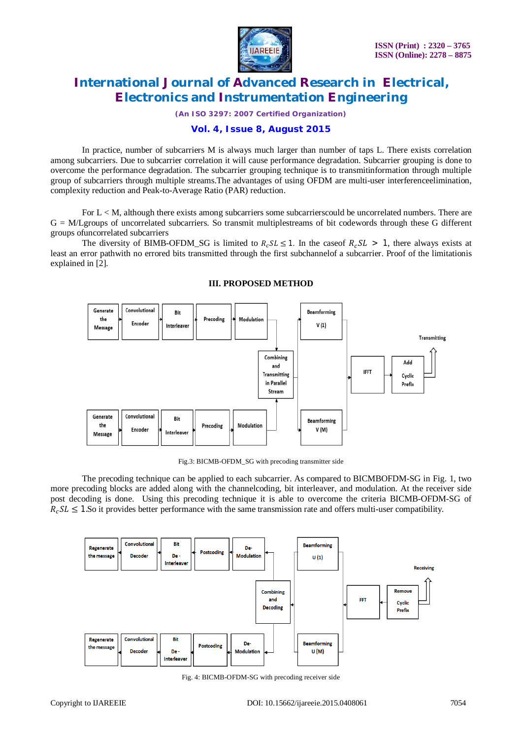

*(An ISO 3297: 2007 Certified Organization)*

### **Vol. 4, Issue 8, August 2015**

In practice, number of subcarriers M is always much larger than number of taps L. There exists correlation among subcarriers. Due to subcarrier correlation it will cause performance degradation. Subcarrier grouping is done to overcome the performance degradation. The subcarrier grouping technique is to transmitinformation through multiple group of subcarriers through multiple streams.The advantages of using OFDM are multi-user interferenceelimination, complexity reduction and Peak-to-Average Ratio (PAR) reduction.

For  $L < M$ , although there exists among subcarriers some subcarriers could be uncorrelated numbers. There are G = M/Lgroups of uncorrelated subcarriers. So transmit multiplestreams of bit codewords through these G different groups ofuncorrelated subcarriers

The diversity of BIMB-OFDM\_SG is limited to  $R_cSL \leq 1$ . In the case of  $R_cSL > 1$ , there always exists at least an error pathwith no errored bits transmitted through the first subchannelof a subcarrier. Proof of the limitationis explained in [2].



#### **III. PROPOSED METHOD**

Fig.3: BICMB-OFDM\_SG with precoding transmitter side

The precoding technique can be applied to each subcarrier. As compared to BICMBOFDM-SG in Fig. 1, two more precoding blocks are added along with the channelcoding, bit interleaver, and modulation. At the receiver side post decoding is done. Using this precoding technique it is able to overcome the criteria BICMB-OFDM-SG of  $R_c$ SL  $\leq$  1.So it provides better performance with the same transmission rate and offers multi-user compatibility.



Fig. 4: BICMB-OFDM-SG with precoding receiver side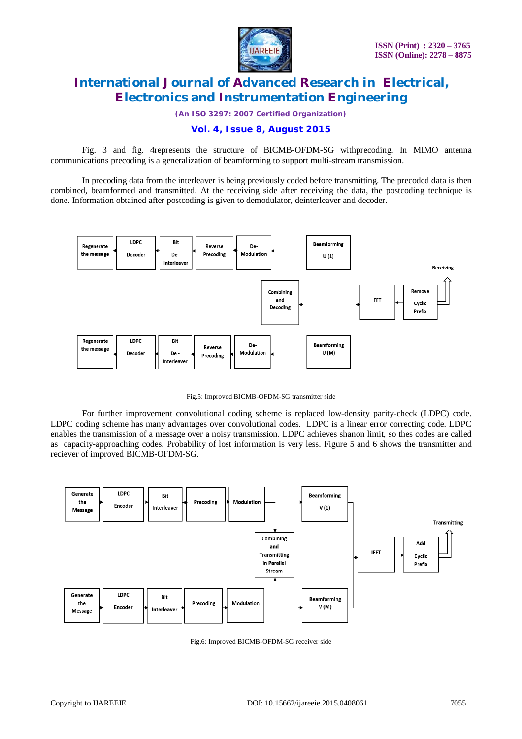

*(An ISO 3297: 2007 Certified Organization)*

### **Vol. 4, Issue 8, August 2015**

Fig. 3 and fig. 4represents the structure of BICMB-OFDM-SG withprecoding. In MIMO antenna communications precoding is a generalization of beamforming to support multi-stream transmission.

In precoding data from the interleaver is being previously coded before transmitting. The precoded data is then combined, beamformed and transmitted. At the receiving side after receiving the data, the postcoding technique is done. Information obtained after postcoding is given to demodulator, deinterleaver and decoder.



Fig.5: Improved BICMB-OFDM-SG transmitter side

For further improvement convolutional coding scheme is replaced low-density parity-check (LDPC) code. LDPC coding scheme has many advantages over convolutional codes. LDPC is a linear error correcting code. LDPC enables the transmission of a message over a noisy transmission. LDPC achieves shanon limit, so thes codes are called as capacity-approaching codes. Probability of lost information is very less. Figure 5 and 6 shows the transmitter and reciever of improved BICMB-OFDM-SG.



Fig.6: Improved BICMB-OFDM-SG receiver side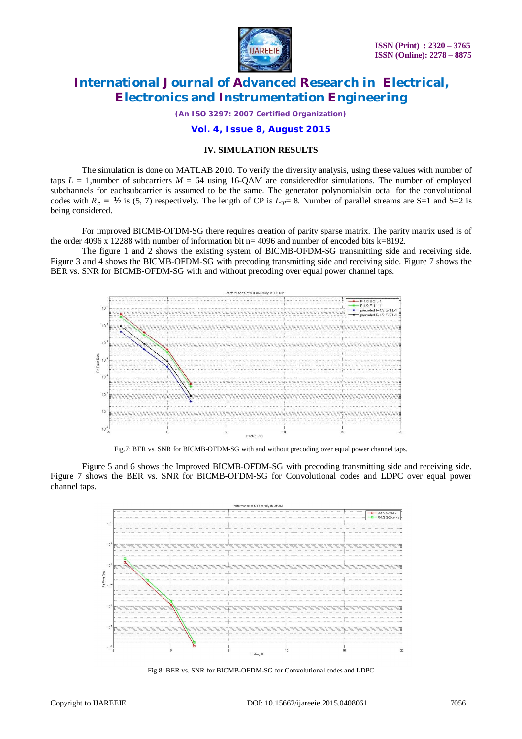

*(An ISO 3297: 2007 Certified Organization)*

#### **Vol. 4, Issue 8, August 2015**

#### **IV. SIMULATION RESULTS**

The simulation is done on MATLAB 2010. To verify the diversity analysis, using these values with number of taps  $L = 1$ , number of subcarriers  $M = 64$  using 16-QAM are consideredfor simulations. The number of employed subchannels for eachsubcarrier is assumed to be the same. The generator polynomialsin octal for the convolutional codes with  $R_c = V_2$  is (5, 7) respectively. The length of CP is  $L_{cp} = 8$ . Number of parallel streams are S=1 and S=2 is being considered.

For improved BICMB-OFDM-SG there requires creation of parity sparse matrix. The parity matrix used is of the order  $4096 \times 12288$  with number of information bit n= 4096 and number of encoded bits k=8192.

The figure 1 and 2 shows the existing system of BICMB-OFDM-SG transmitting side and receiving side. Figure 3 and 4 shows the BICMB-OFDM-SG with precoding transmitting side and receiving side. Figure 7 shows the BER vs. SNR for BICMB-OFDM-SG with and without precoding over equal power channel taps.



Fig.7: BER vs. SNR for BICMB-OFDM-SG with and without precoding over equal power channel taps.

Figure 5 and 6 shows the Improved BICMB-OFDM-SG with precoding transmitting side and receiving side. Figure 7 shows the BER vs. SNR for BICMB-OFDM-SG for Convolutional codes and LDPC over equal power channel taps.



Fig.8: BER vs. SNR for BICMB-OFDM-SG for Convolutional codes and LDPC